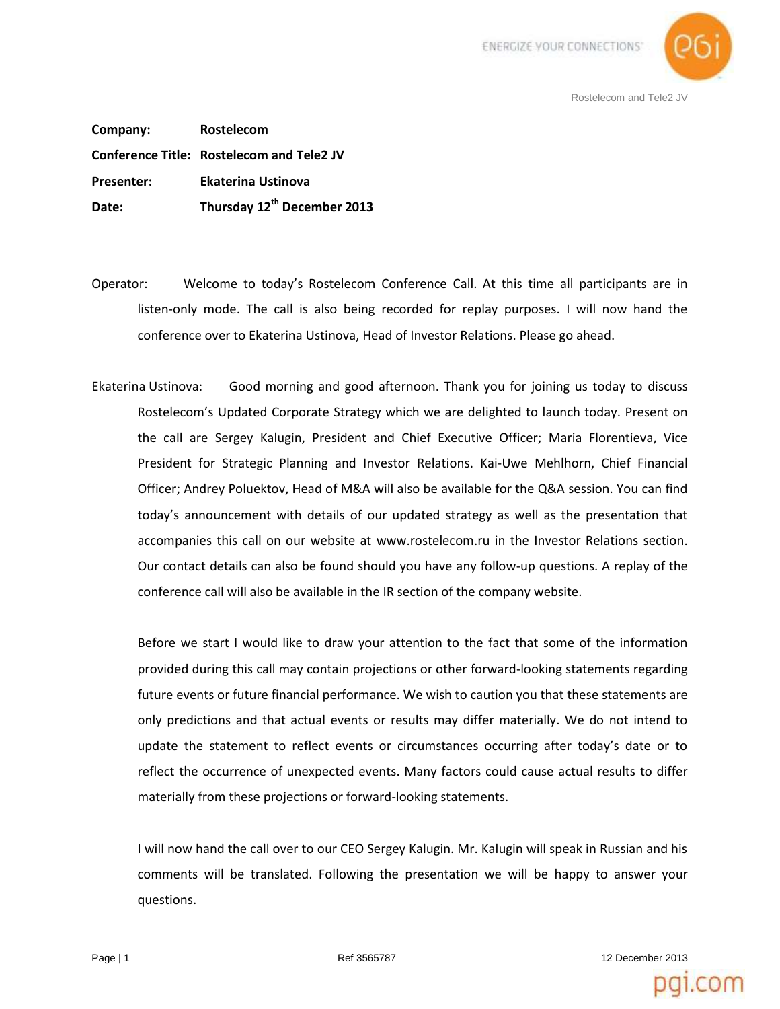

**Company: Rostelecom Conference Title: Rostelecom and Tele2 JV Presenter: Ekaterina Ustinova Date: Thursday 12th December 2013**

- Operator: Welcome to today's Rostelecom Conference Call. At this time all participants are in listen-only mode. The call is also being recorded for replay purposes. I will now hand the conference over to Ekaterina Ustinova, Head of Investor Relations. Please go ahead.
- Ekaterina Ustinova: Good morning and good afternoon. Thank you for joining us today to discuss Rostelecom's Updated Сorporate Strategy which we are delighted to launch today. Present on the call are Sergey Kalugin, President and Chief Executive Officer; Maria Florentieva, Vice President for Strategic Planning and Investor Relations. Kai-Uwe Mehlhorn, Chief Financial Officer; Andrey Poluektov, Head of M&A will also be available for the Q&A session. You can find today's announcement with details of our updated strategy as well as the presentation that accompanies this call on our website at www.rostelecom.ru in the Investor Relations section. Our contact details can also be found should you have any follow-up questions. A replay of the conference call will also be available in the IR section of the company website.

Before we start I would like to draw your attention to the fact that some of the information provided during this call may contain projections or other forward-looking statements regarding future events or future financial performance. We wish to caution you that these statements are only predictions and that actual events or results may differ materially. We do not intend to update the statement to reflect events or circumstances occurring after today's date or to reflect the occurrence of unexpected events. Many factors could cause actual results to differ materially from these projections or forward-looking statements.

I will now hand the call over to our CEO Sergey Kalugin. Mr. Kalugin will speak in Russian and his comments will be translated. Following the presentation we will be happy to answer your questions.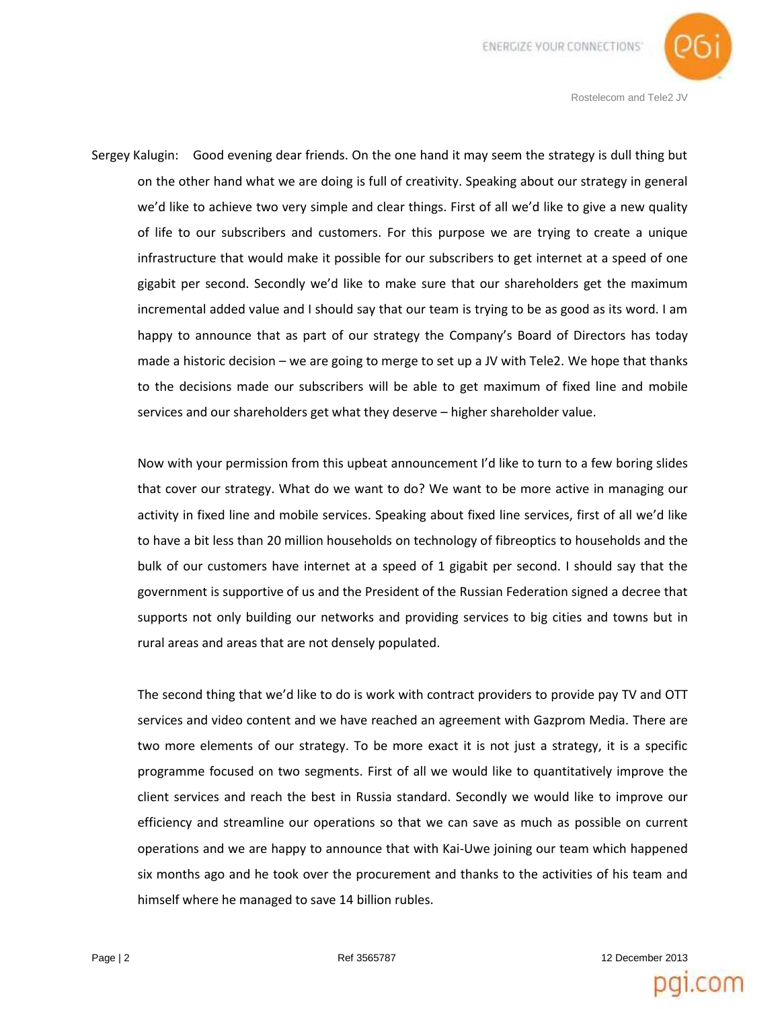

Sergey Kalugin: Good evening dear friends. On the one hand it may seem the strategy is dull thing but on the other hand what we are doing is full of creativity. Speaking about our strategy in general we'd like to achieve two very simple and clear things. First of all we'd like to give a new quality of life to our subscribers and customers. For this purpose we are trying to create a unique infrastructure that would make it possible for our subscribers to get internet at a speed of one gigabit per second. Secondly we'd like to make sure that our shareholders get the maximum incremental added value and I should say that our team is trying to be as good as its word. I am happy to announce that as part of our strategy the Company's Board of Directors has today made a historic decision – we are going to merge to set up a JV with Tele2. We hope that thanks to the decisions made our subscribers will be able to get maximum of fixed line and mobile services and our shareholders get what they deserve – higher shareholder value.

Now with your permission from this upbeat announcement I'd like to turn to a few boring slides that cover our strategy. What do we want to do? We want to be more active in managing our activity in fixed line and mobile services. Speaking about fixed line services, first of all we'd like to have a bit less than 20 million households on technology of fibreoptics to households and the bulk of our customers have internet at a speed of 1 gigabit per second. I should say that the government is supportive of us and the President of the Russian Federation signed a decree that supports not only building our networks and providing services to big cities and towns but in rural areas and areas that are not densely populated.

The second thing that we'd like to do is work with contract providers to provide pay TV and OTT services and video content and we have reached an agreement with Gazprom Media. There are two more elements of our strategy. To be more exact it is not just a strategy, it is a specific programme focused on two segments. First of all we would like to quantitatively improve the client services and reach the best in Russia standard. Secondly we would like to improve our efficiency and streamline our operations so that we can save as much as possible on current operations and we are happy to announce that with Kai-Uwe joining our team which happened six months ago and he took over the procurement and thanks to the activities of his team and himself where he managed to save 14 billion rubles.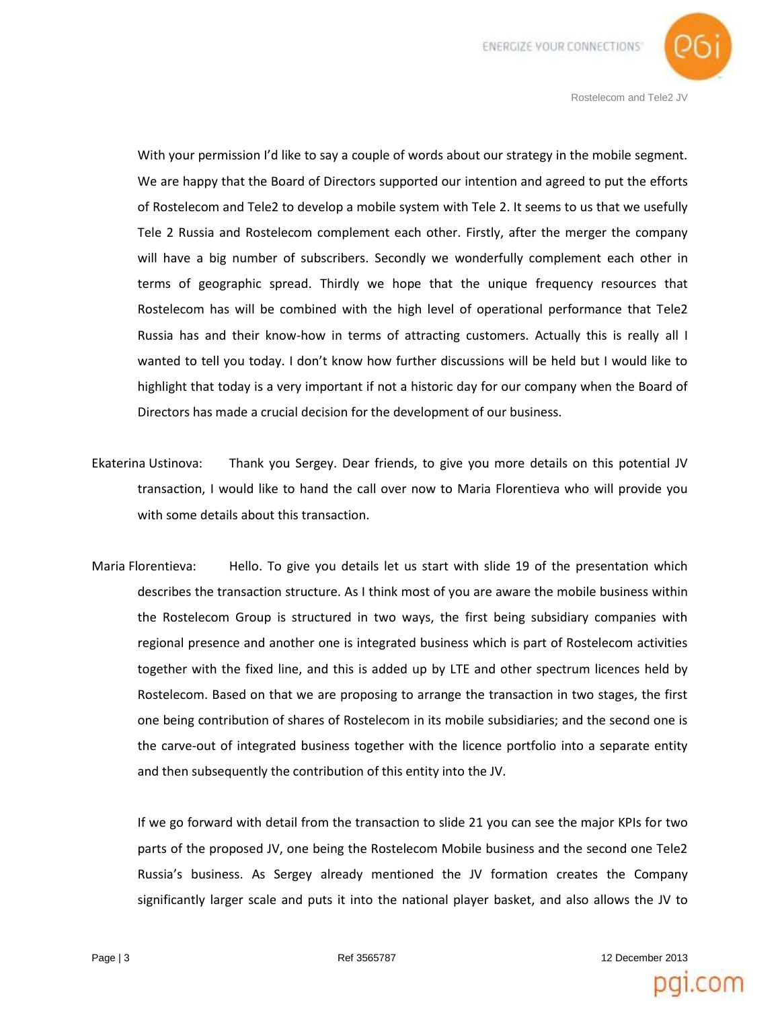

With your permission I'd like to say a couple of words about our strategy in the mobile segment. We are happy that the Board of Directors supported our intention and agreed to put the efforts of Rostelecom and Tele2 to develop a mobile system with Tele 2. It seems to us that we usefully Tele 2 Russia and Rostelecom complement each other. Firstly, after the merger the company will have a big number of subscribers. Secondly we wonderfully complement each other in terms of geographic spread. Thirdly we hope that the unique frequency resources that Rostelecom has will be combined with the high level of operational performance that Tele2 Russia has and their know-how in terms of attracting customers. Actually this is really all I wanted to tell you today. I don't know how further discussions will be held but I would like to highlight that today is a very important if not a historic day for our company when the Board of Directors has made a crucial decision for the development of our business.

- Ekaterina Ustinova: Thank you Sergey. Dear friends, to give you more details on this potential JV transaction, I would like to hand the call over now to Maria Florentieva who will provide you with some details about this transaction.
- Maria Florentieva: Hello. To give you details let us start with slide 19 of the presentation which describes the transaction structure. As I think most of you are aware the mobile business within the Rostelecom Group is structured in two ways, the first being subsidiary companies with regional presence and another one is integrated business which is part of Rostelecom activities together with the fixed line, and this is added up by LTE and other spectrum licences held by Rostelecom. Based on that we are proposing to arrange the transaction in two stages, the first one being contribution of shares of Rostelecom in its mobile subsidiaries; and the second one is the carve-out of integrated business together with the licence portfolio into a separate entity and then subsequently the contribution of this entity into the JV.

If we go forward with detail from the transaction to slide 21 you can see the major KPIs for two parts of the proposed JV, one being the Rostelecom Mobile business and the second one Tele2 Russia's business. As Sergey already mentioned the JV formation creates the Company significantly larger scale and puts it into the national player basket, and also allows the JV to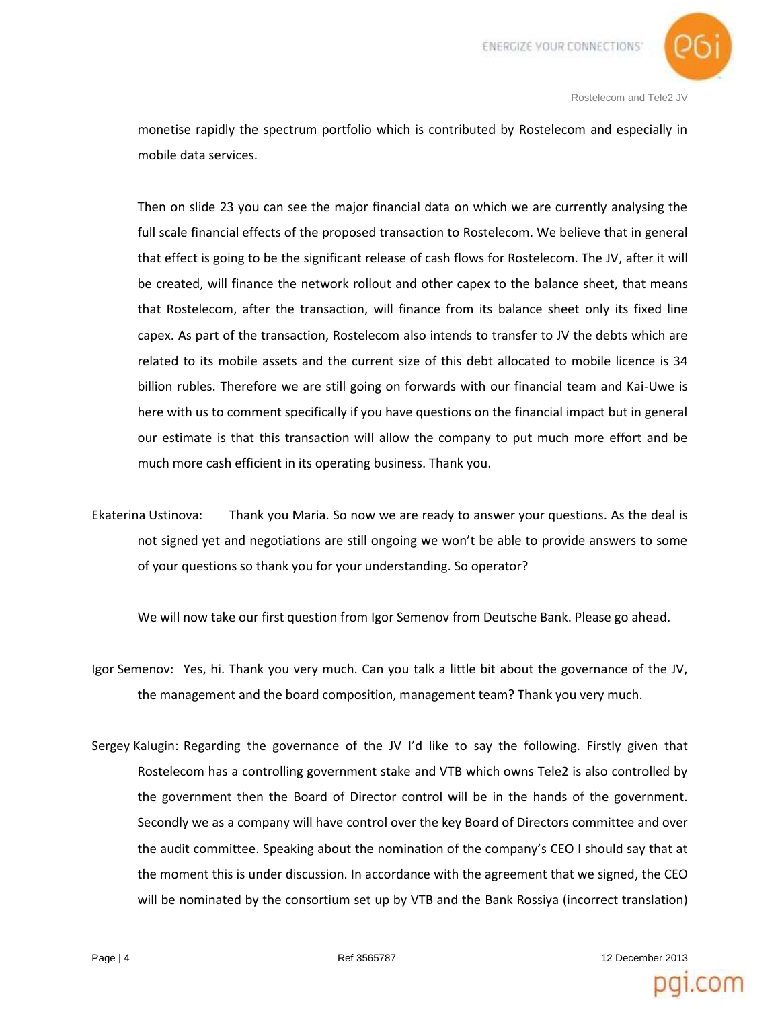

monetise rapidly the spectrum portfolio which is contributed by Rostelecom and especially in mobile data services.

Then on slide 23 you can see the major financial data on which we are currently analysing the full scale financial effects of the proposed transaction to Rostelecom. We believe that in general that effect is going to be the significant release of cash flows for Rostelecom. The JV, after it will be created, will finance the network rollout and other capex to the balance sheet, that means that Rostelecom, after the transaction, will finance from its balance sheet only its fixed line capex. As part of the transaction, Rostelecom also intends to transfer to JV the debts which are related to its mobile assets and the current size of this debt allocated to mobile licence is 34 billion rubles. Therefore we are still going on forwards with our financial team and Kai-Uwe is here with us to comment specifically if you have questions on the financial impact but in general our estimate is that this transaction will allow the company to put much more effort and be much more cash efficient in its operating business. Thank you.

Ekaterina Ustinova: Thank you Maria. So now we are ready to answer your questions. As the deal is not signed yet and negotiations are still ongoing we won't be able to provide answers to some of your questions so thank you for your understanding. So operator?

We will now take our first question from Igor Semenov from Deutsche Bank. Please go ahead.

- Igor Semenov: Yes, hi. Thank you very much. Can you talk a little bit about the governance of the JV, the management and the board composition, management team? Thank you very much.
- Sergey Kalugin: Regarding the governance of the JV I'd like to say the following. Firstly given that Rostelecom has a controlling government stake and VTB which owns Tele2 is also controlled by the government then the Board of Director control will be in the hands of the government. Secondly we as a company will have control over the key Board of Directors committee and over the audit committee. Speaking about the nomination of the company's CEO I should say that at the moment this is under discussion. In accordance with the agreement that we signed, the CEO will be nominated by the consortium set up by VTB and the Bank Rossiya (incorrect translation)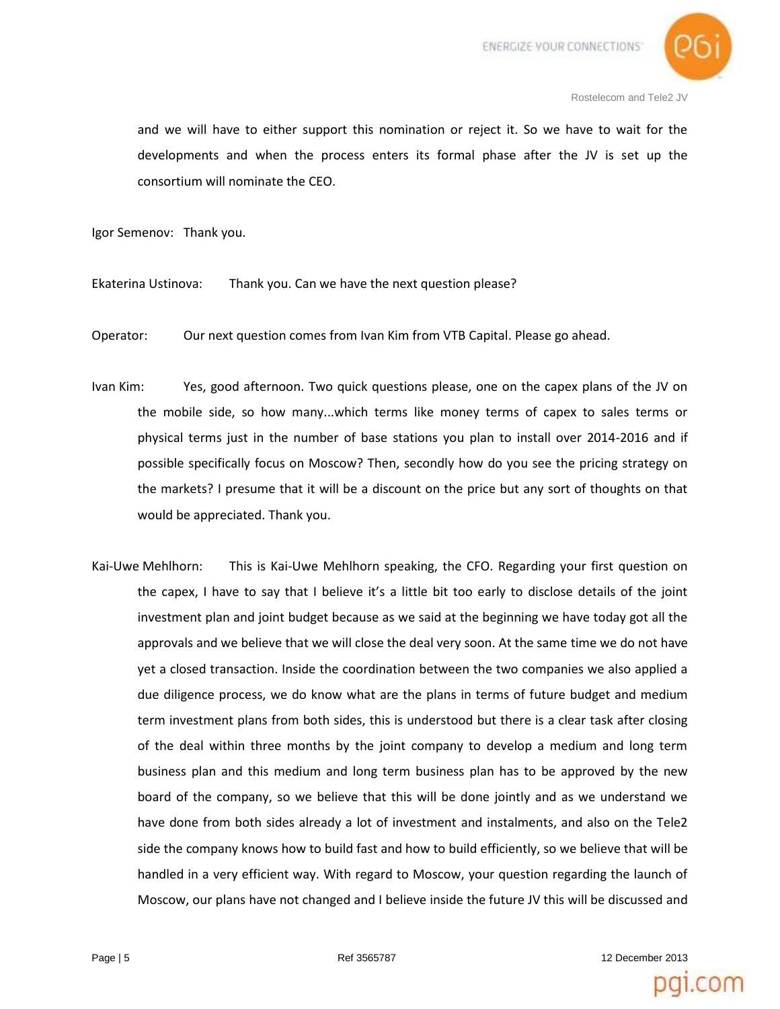

and we will have to either support this nomination or reject it. So we have to wait for the developments and when the process enters its formal phase after the JV is set up the consortium will nominate the CEO.

Igor Semenov: Thank you.

Ekaterina Ustinova: Thank you. Can we have the next question please?

Operator: Our next question comes from Ivan Kim from VTB Capital. Please go ahead.

- Ivan Kim: Yes, good afternoon. Two quick questions please, one on the capex plans of the JV on the mobile side, so how many...which terms like money terms of capex to sales terms or physical terms just in the number of base stations you plan to install over 2014-2016 and if possible specifically focus on Moscow? Then, secondly how do you see the pricing strategy on the markets? I presume that it will be a discount on the price but any sort of thoughts on that would be appreciated. Thank you.
- Kai-Uwe Mehlhorn: This is Kai-Uwe Mehlhorn speaking, the CFO. Regarding your first question on the capex, I have to say that I believe it's a little bit too early to disclose details of the joint investment plan and joint budget because as we said at the beginning we have today got all the approvals and we believe that we will close the deal very soon. At the same time we do not have yet a closed transaction. Inside the coordination between the two companies we also applied a due diligence process, we do know what are the plans in terms of future budget and medium term investment plans from both sides, this is understood but there is a clear task after closing of the deal within three months by the joint company to develop a medium and long term business plan and this medium and long term business plan has to be approved by the new board of the company, so we believe that this will be done jointly and as we understand we have done from both sides already a lot of investment and instalments, and also on the Tele2 side the company knows how to build fast and how to build efficiently, so we believe that will be handled in a very efficient way. With regard to Moscow, your question regarding the launch of Moscow, our plans have not changed and I believe inside the future JV this will be discussed and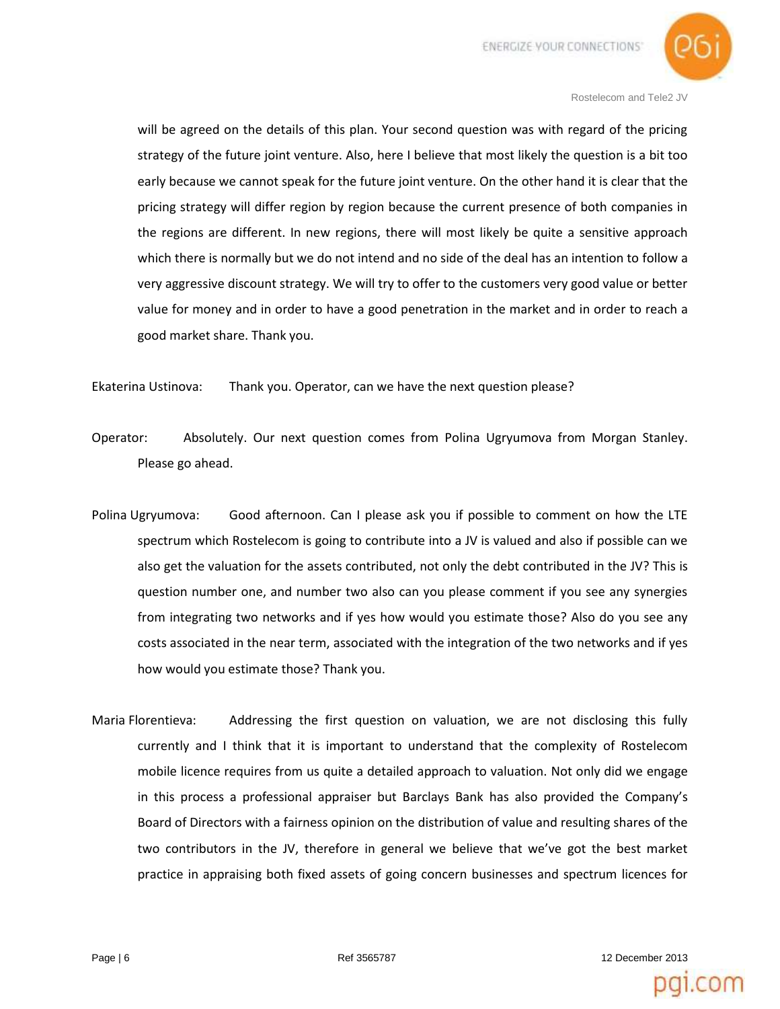

will be agreed on the details of this plan. Your second question was with regard of the pricing strategy of the future joint venture. Also, here I believe that most likely the question is a bit too early because we cannot speak for the future joint venture. On the other hand it is clear that the pricing strategy will differ region by region because the current presence of both companies in the regions are different. In new regions, there will most likely be quite a sensitive approach which there is normally but we do not intend and no side of the deal has an intention to follow a very aggressive discount strategy. We will try to offer to the customers very good value or better value for money and in order to have a good penetration in the market and in order to reach a good market share. Thank you.

Ekaterina Ustinova: Thank you. Operator, can we have the next question please?

- Operator: Absolutely. Our next question comes from Polina Ugryumova from Morgan Stanley. Please go ahead.
- Polina Ugryumova: Good afternoon. Can I please ask you if possible to comment on how the LTE spectrum which Rostelecom is going to contribute into a JV is valued and also if possible can we also get the valuation for the assets contributed, not only the debt contributed in the JV? This is question number one, and number two also can you please comment if you see any synergies from integrating two networks and if yes how would you estimate those? Also do you see any costs associated in the near term, associated with the integration of the two networks and if yes how would you estimate those? Thank you.
- Maria Florentieva: Addressing the first question on valuation, we are not disclosing this fully currently and I think that it is important to understand that the complexity of Rostelecom mobile licence requires from us quite a detailed approach to valuation. Not only did we engage in this process a professional appraiser but Barclays Bank has also provided the Company's Board of Directors with a fairness opinion on the distribution of value and resulting shares of the two contributors in the JV, therefore in general we believe that we've got the best market practice in appraising both fixed assets of going concern businesses and spectrum licences for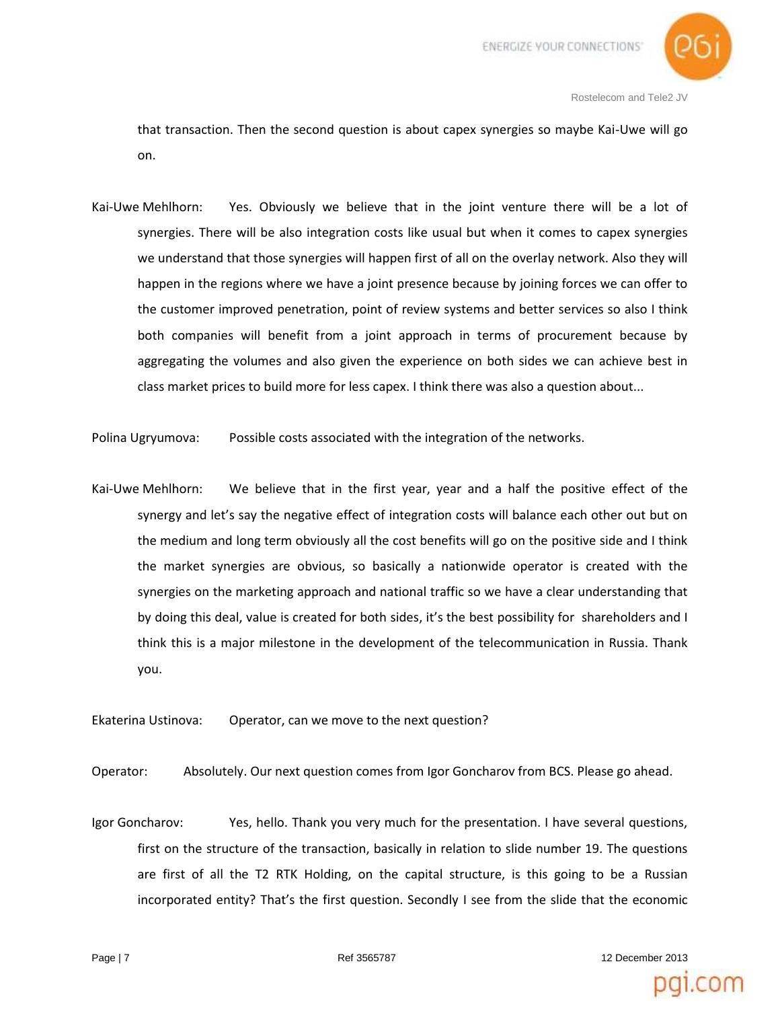

that transaction. Then the second question is about capex synergies so maybe Kai-Uwe will go on.

Kai-Uwe Mehlhorn: Yes. Obviously we believe that in the joint venture there will be a lot of synergies. There will be also integration costs like usual but when it comes to capex synergies we understand that those synergies will happen first of all on the overlay network. Also they will happen in the regions where we have a joint presence because by joining forces we can offer to the customer improved penetration, point of review systems and better services so also I think both companies will benefit from a joint approach in terms of procurement because by aggregating the volumes and also given the experience on both sides we can achieve best in class market prices to build more for less capex. I think there was also a question about...

Polina Ugryumova: Possible costs associated with the integration of the networks.

Kai-Uwe Mehlhorn: We believe that in the first year, year and a half the positive effect of the synergy and let's say the negative effect of integration costs will balance each other out but on the medium and long term obviously all the cost benefits will go on the positive side and I think the market synergies are obvious, so basically a nationwide operator is created with the synergies on the marketing approach and national traffic so we have a clear understanding that by doing this deal, value is created for both sides, it's the best possibility for shareholders and I think this is a major milestone in the development of the telecommunication in Russia. Thank you.

Ekaterina Ustinova: Operator, can we move to the next question?

Operator: Absolutely. Our next question comes from Igor Goncharov from BCS. Please go ahead.

Igor Goncharov: Yes, hello. Thank you very much for the presentation. I have several questions, first on the structure of the transaction, basically in relation to slide number 19. The questions are first of all the T2 RTK Holding, on the capital structure, is this going to be a Russian incorporated entity? That's the first question. Secondly I see from the slide that the economic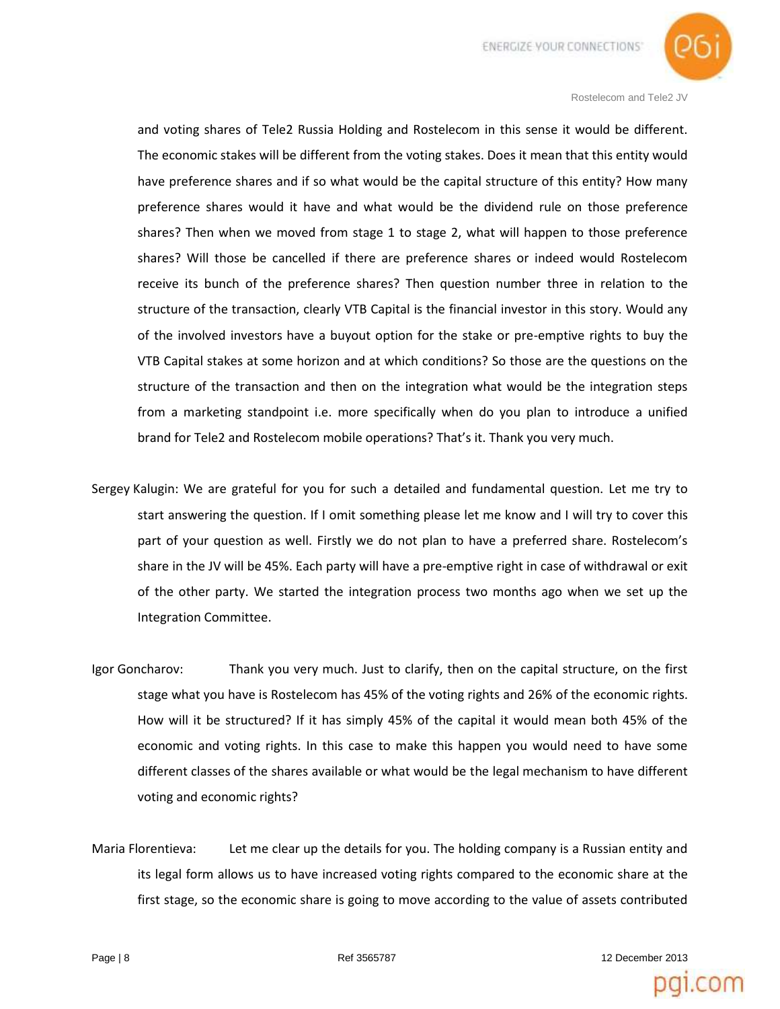

and voting shares of Tele2 Russia Holding and Rostelecom in this sense it would be different. The economic stakes will be different from the voting stakes. Does it mean that this entity would have preference shares and if so what would be the capital structure of this entity? How many preference shares would it have and what would be the dividend rule on those preference shares? Then when we moved from stage 1 to stage 2, what will happen to those preference shares? Will those be cancelled if there are preference shares or indeed would Rostelecom receive its bunch of the preference shares? Then question number three in relation to the structure of the transaction, clearly VTB Capital is the financial investor in this story. Would any of the involved investors have a buyout option for the stake or pre-emptive rights to buy the VTB Capital stakes at some horizon and at which conditions? So those are the questions on the structure of the transaction and then on the integration what would be the integration steps from a marketing standpoint i.e. more specifically when do you plan to introduce a unified brand for Tele2 and Rostelecom mobile operations? That's it. Thank you very much.

- Sergey Kalugin: We are grateful for you for such a detailed and fundamental question. Let me try to start answering the question. If I omit something please let me know and I will try to cover this part of your question as well. Firstly we do not plan to have a preferred share. Rostelecom's share in the JV will be 45%. Each party will have a pre-emptive right in case of withdrawal or exit of the other party. We started the integration process two months ago when we set up the Integration Committee.
- Igor Goncharov: Thank you very much. Just to clarify, then on the capital structure, on the first stage what you have is Rostelecom has 45% of the voting rights and 26% of the economic rights. How will it be structured? If it has simply 45% of the capital it would mean both 45% of the economic and voting rights. In this case to make this happen you would need to have some different classes of the shares available or what would be the legal mechanism to have different voting and economic rights?
- Maria Florentieva: Let me clear up the details for you. The holding company is a Russian entity and its legal form allows us to have increased voting rights compared to the economic share at the first stage, so the economic share is going to move according to the value of assets contributed

Page | 8 **Page | 8 Page | 8 Ref 3565787 12 December 2013**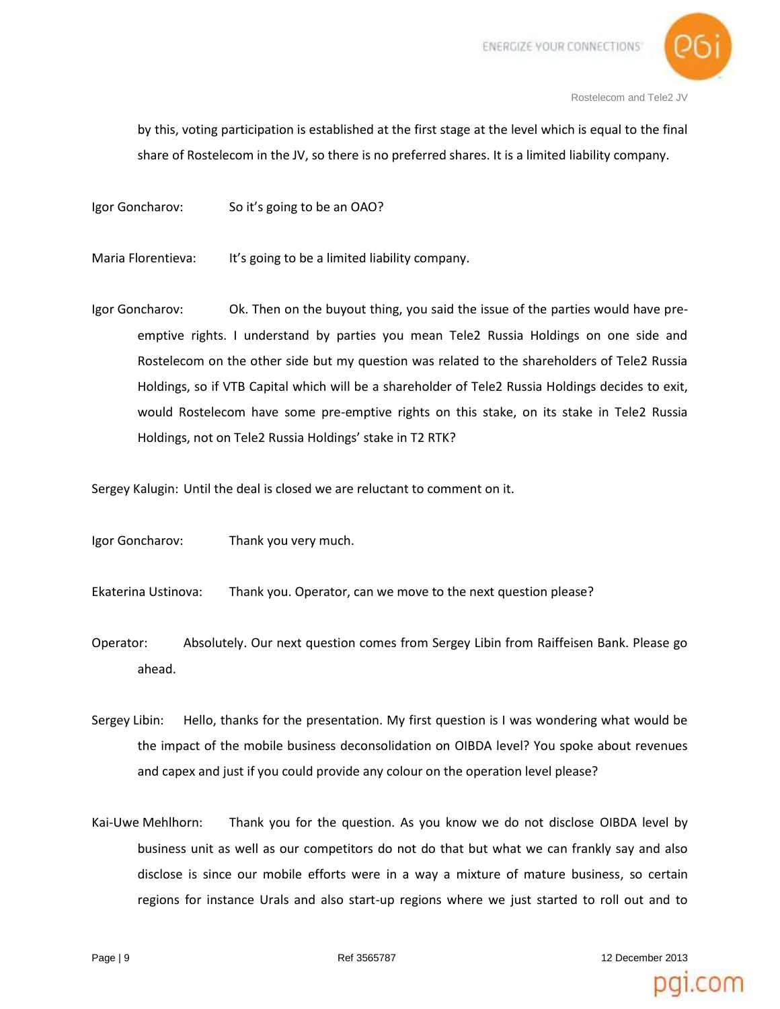

by this, voting participation is established at the first stage at the level which is equal to the final share of Rostelecom in the JV, so there is no preferred shares. It is a limited liability company.

Igor Goncharov: So it's going to be an OAO?

Maria Florentieva: It's going to be a limited liability company.

Igor Goncharov: Ok. Then on the buyout thing, you said the issue of the parties would have preemptive rights. I understand by parties you mean Tele2 Russia Holdings on one side and Rostelecom on the other side but my question was related to the shareholders of Tele2 Russia Holdings, so if VTB Capital which will be a shareholder of Tele2 Russia Holdings decides to exit, would Rostelecom have some pre-emptive rights on this stake, on its stake in Tele2 Russia Holdings, not on Tele2 Russia Holdings' stake in T2 RTK?

Sergey Kalugin: Until the deal is closed we are reluctant to comment on it.

Igor Goncharov: Thank you very much.

Ekaterina Ustinova: Thank you. Operator, can we move to the next question please?

- Operator: Absolutely. Our next question comes from Sergey Libin from Raiffeisen Bank. Please go ahead.
- Sergey Libin: Hello, thanks for the presentation. My first question is I was wondering what would be the impact of the mobile business deconsolidation on OIBDA level? You spoke about revenues and capex and just if you could provide any colour on the operation level please?
- Kai-Uwe Mehlhorn: Thank you for the question. As you know we do not disclose OIBDA level by business unit as well as our competitors do not do that but what we can frankly say and also disclose is since our mobile efforts were in a way a mixture of mature business, so certain regions for instance Urals and also start-up regions where we just started to roll out and to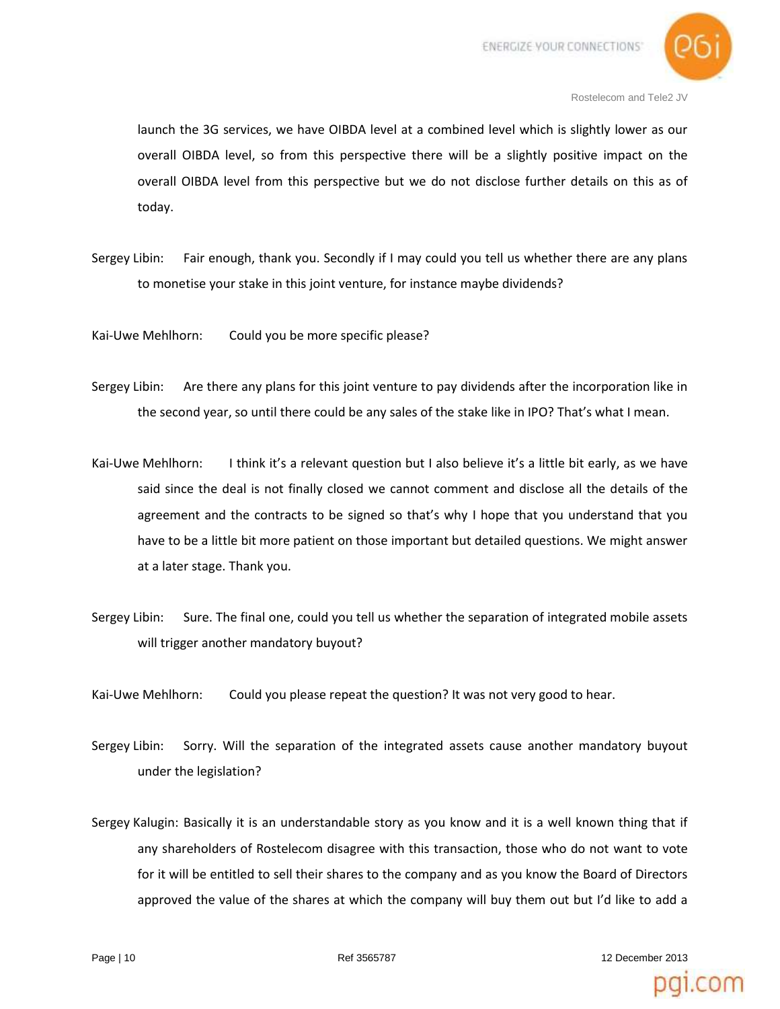

launch the 3G services, we have OIBDA level at a combined level which is slightly lower as our overall OIBDA level, so from this perspective there will be a slightly positive impact on the overall OIBDA level from this perspective but we do not disclose further details on this as of today.

Sergey Libin: Fair enough, thank you. Secondly if I may could you tell us whether there are any plans to monetise your stake in this joint venture, for instance maybe dividends?

Kai-Uwe Mehlhorn: Could you be more specific please?

- Sergey Libin: Are there any plans for this joint venture to pay dividends after the incorporation like in the second year, so until there could be any sales of the stake like in IPO? That's what I mean.
- Kai-Uwe Mehlhorn: I think it's a relevant question but I also believe it's a little bit early, as we have said since the deal is not finally closed we cannot comment and disclose all the details of the agreement and the contracts to be signed so that's why I hope that you understand that you have to be a little bit more patient on those important but detailed questions. We might answer at a later stage. Thank you.
- Sergey Libin: Sure. The final one, could you tell us whether the separation of integrated mobile assets will trigger another mandatory buyout?
- Kai-Uwe Mehlhorn: Could you please repeat the question? It was not very good to hear.
- Sergey Libin: Sorry. Will the separation of the integrated assets cause another mandatory buyout under the legislation?
- Sergey Kalugin: Basically it is an understandable story as you know and it is a well known thing that if any shareholders of Rostelecom disagree with this transaction, those who do not want to vote for it will be entitled to sell their shares to the company and as you know the Board of Directors approved the value of the shares at which the company will buy them out but I'd like to add a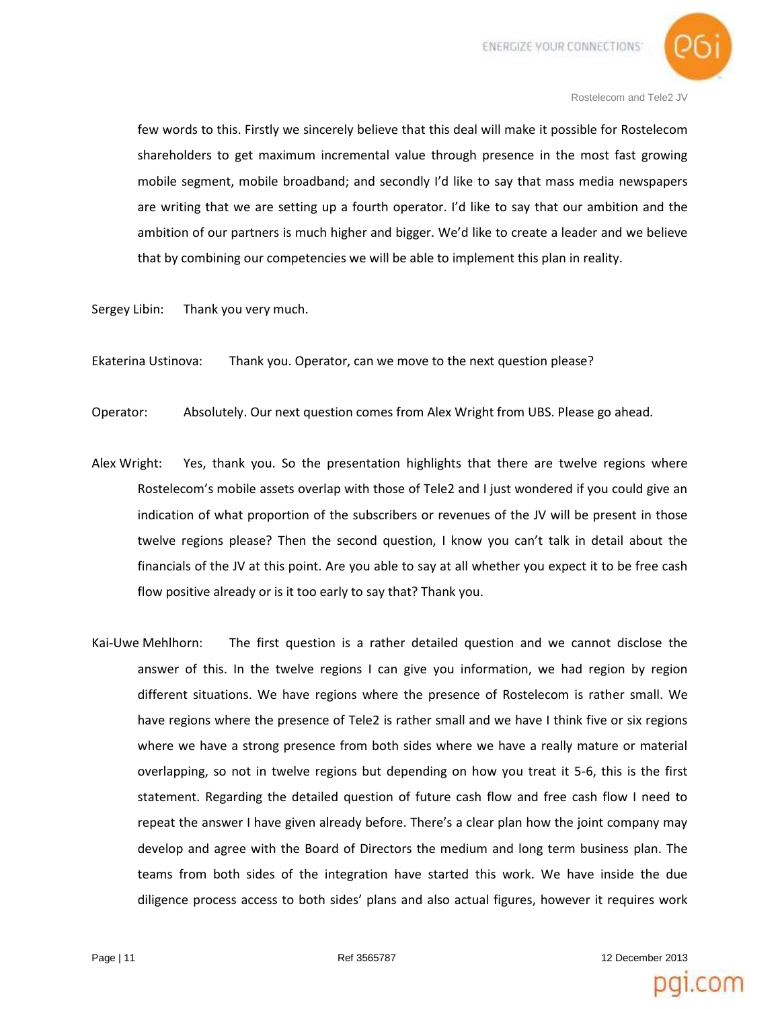

few words to this. Firstly we sincerely believe that this deal will make it possible for Rostelecom shareholders to get maximum incremental value through presence in the most fast growing mobile segment, mobile broadband; and secondly I'd like to say that mass media newspapers are writing that we are setting up a fourth operator. I'd like to say that our ambition and the ambition of our partners is much higher and bigger. We'd like to create a leader and we believe that by combining our competencies we will be able to implement this plan in reality.

Sergey Libin: Thank you very much.

Ekaterina Ustinova: Thank you. Operator, can we move to the next question please?

Operator: Absolutely. Our next question comes from Alex Wright from UBS. Please go ahead.

- Alex Wright: Yes, thank you. So the presentation highlights that there are twelve regions where Rostelecom's mobile assets overlap with those of Tele2 and I just wondered if you could give an indication of what proportion of the subscribers or revenues of the JV will be present in those twelve regions please? Then the second question, I know you can't talk in detail about the financials of the JV at this point. Are you able to say at all whether you expect it to be free cash flow positive already or is it too early to say that? Thank you.
- Kai-Uwe Mehlhorn: The first question is a rather detailed question and we cannot disclose the answer of this. In the twelve regions I can give you information, we had region by region different situations. We have regions where the presence of Rostelecom is rather small. We have regions where the presence of Tele2 is rather small and we have I think five or six regions where we have a strong presence from both sides where we have a really mature or material overlapping, so not in twelve regions but depending on how you treat it 5-6, this is the first statement. Regarding the detailed question of future cash flow and free cash flow I need to repeat the answer I have given already before. There's a clear plan how the joint company may develop and agree with the Board of Directors the medium and long term business plan. The teams from both sides of the integration have started this work. We have inside the due diligence process access to both sides' plans and also actual figures, however it requires work

Page | 11 **Page | 11 Page | 11 Page | 12 December 2013 12 December 2013**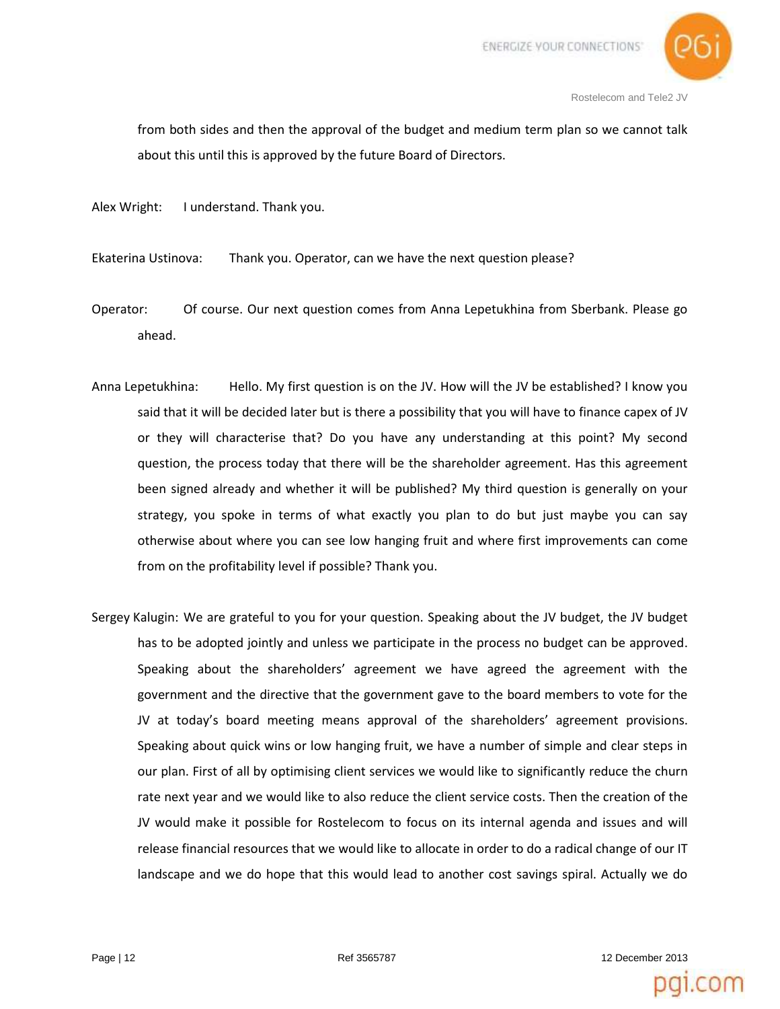

from both sides and then the approval of the budget and medium term plan so we cannot talk about this until this is approved by the future Board of Directors.

Alex Wright: I understand. Thank you.

Ekaterina Ustinova: Thank you. Operator, can we have the next question please?

- Operator: Of course. Our next question comes from Anna Lepetukhina from Sberbank. Please go ahead.
- Anna Lepetukhina: Hello. My first question is on the JV. How will the JV be established? I know you said that it will be decided later but is there a possibility that you will have to finance capex of JV or they will characterise that? Do you have any understanding at this point? My second question, the process today that there will be the shareholder agreement. Has this agreement been signed already and whether it will be published? My third question is generally on your strategy, you spoke in terms of what exactly you plan to do but just maybe you can say otherwise about where you can see low hanging fruit and where first improvements can come from on the profitability level if possible? Thank you.
- Sergey Kalugin: We are grateful to you for your question. Speaking about the JV budget, the JV budget has to be adopted jointly and unless we participate in the process no budget can be approved. Speaking about the shareholders' agreement we have agreed the agreement with the government and the directive that the government gave to the board members to vote for the JV at today's board meeting means approval of the shareholders' agreement provisions. Speaking about quick wins or low hanging fruit, we have a number of simple and clear steps in our plan. First of all by optimising client services we would like to significantly reduce the churn rate next year and we would like to also reduce the client service costs. Then the creation of the JV would make it possible for Rostelecom to focus on its internal agenda and issues and will release financial resources that we would like to allocate in order to do a radical change of our IT landscape and we do hope that this would lead to another cost savings spiral. Actually we do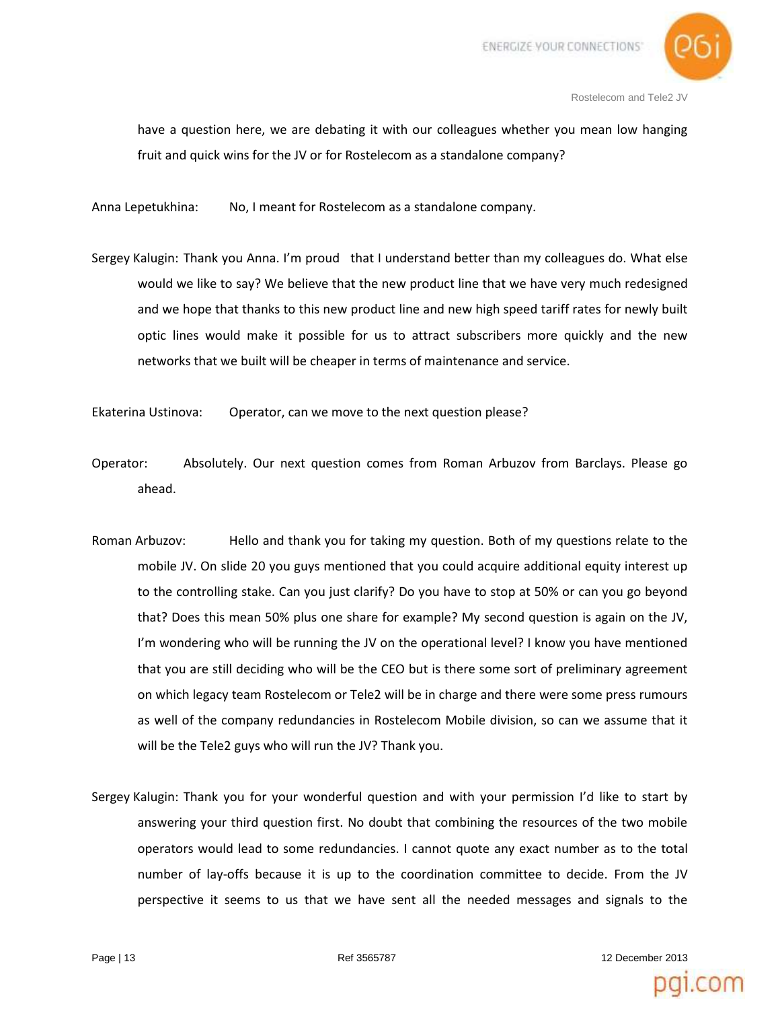

have a question here, we are debating it with our colleagues whether you mean low hanging fruit and quick wins for the JV or for Rostelecom as a standalone company?

Anna Lepetukhina: No, I meant for Rostelecom as a standalone company.

Sergey Kalugin: Thank you Anna. I'm proud that I understand better than my colleagues do. What else would we like to say? We believe that the new product line that we have very much redesigned and we hope that thanks to this new product line and new high speed tariff rates for newly built optic lines would make it possible for us to attract subscribers more quickly and the new networks that we built will be cheaper in terms of maintenance and service.

Ekaterina Ustinova: Operator, can we move to the next question please?

- Operator: Absolutely. Our next question comes from Roman Arbuzov from Barclays. Please go ahead.
- Roman Arbuzov: Hello and thank you for taking my question. Both of my questions relate to the mobile JV. On slide 20 you guys mentioned that you could acquire additional equity interest up to the controlling stake. Can you just clarify? Do you have to stop at 50% or can you go beyond that? Does this mean 50% plus one share for example? My second question is again on the JV, I'm wondering who will be running the JV on the operational level? I know you have mentioned that you are still deciding who will be the CEO but is there some sort of preliminary agreement on which legacy team Rostelecom or Tele2 will be in charge and there were some press rumours as well of the company redundancies in Rostelecom Mobile division, so can we assume that it will be the Tele2 guys who will run the JV? Thank you.
- Sergey Kalugin: Thank you for your wonderful question and with your permission I'd like to start by answering your third question first. No doubt that combining the resources of the two mobile operators would lead to some redundancies. I cannot quote any exact number as to the total number of lay-offs because it is up to the coordination committee to decide. From the JV perspective it seems to us that we have sent all the needed messages and signals to the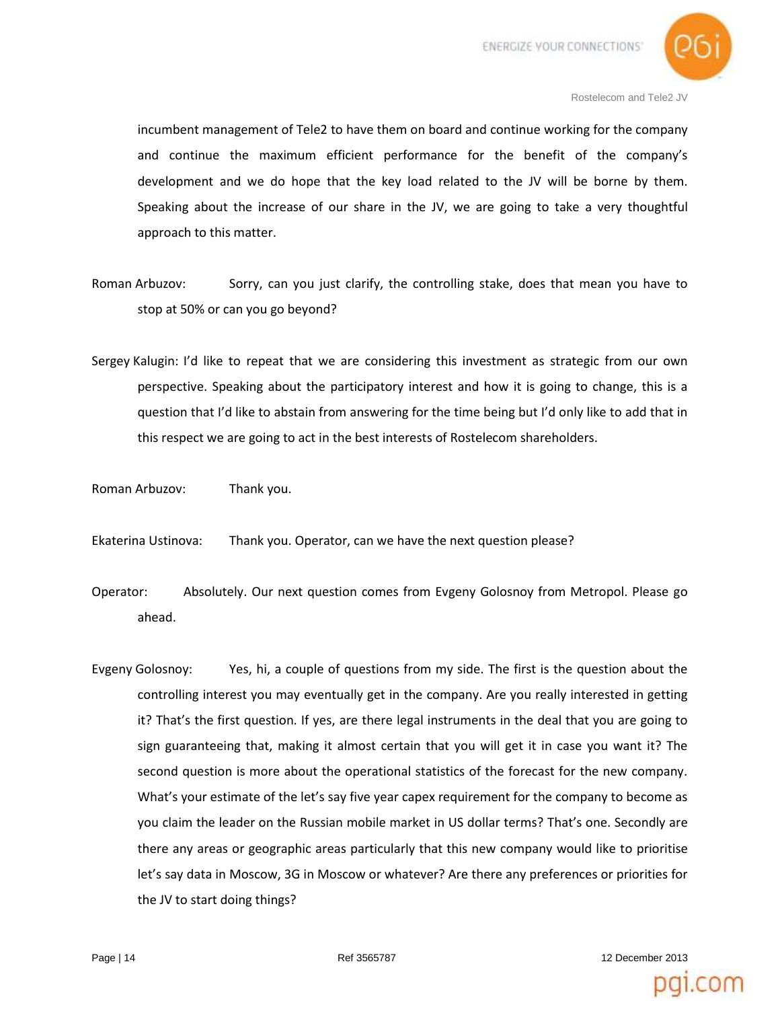

incumbent management of Tele2 to have them on board and continue working for the company and continue the maximum efficient performance for the benefit of the company's development and we do hope that the key load related to the JV will be borne by them. Speaking about the increase of our share in the JV, we are going to take a very thoughtful approach to this matter.

- Roman Arbuzov: Sorry, can you just clarify, the controlling stake, does that mean you have to stop at 50% or can you go beyond?
- Sergey Kalugin: I'd like to repeat that we are considering this investment as strategic from our own perspective. Speaking about the participatory interest and how it is going to change, this is a question that I'd like to abstain from answering for the time being but I'd only like to add that in this respect we are going to act in the best interests of Rostelecom shareholders.
- Roman Arbuzov: Thank you.
- Ekaterina Ustinova: Thank you. Operator, can we have the next question please?
- Operator: Absolutely. Our next question comes from Evgeny Golosnoy from Metropol. Please go ahead.
- Evgeny Golosnoy: Yes, hi, a couple of questions from my side. The first is the question about the controlling interest you may eventually get in the company. Are you really interested in getting it? That's the first question. If yes, are there legal instruments in the deal that you are going to sign guaranteeing that, making it almost certain that you will get it in case you want it? The second question is more about the operational statistics of the forecast for the new company. What's your estimate of the let's say five year capex requirement for the company to become as you claim the leader on the Russian mobile market in US dollar terms? That's one. Secondly are there any areas or geographic areas particularly that this new company would like to prioritise let's say data in Moscow, 3G in Moscow or whatever? Are there any preferences or priorities for the JV to start doing things?

Page | 14 **Page | 14 Page | 14 Page | 14 12 December 2013**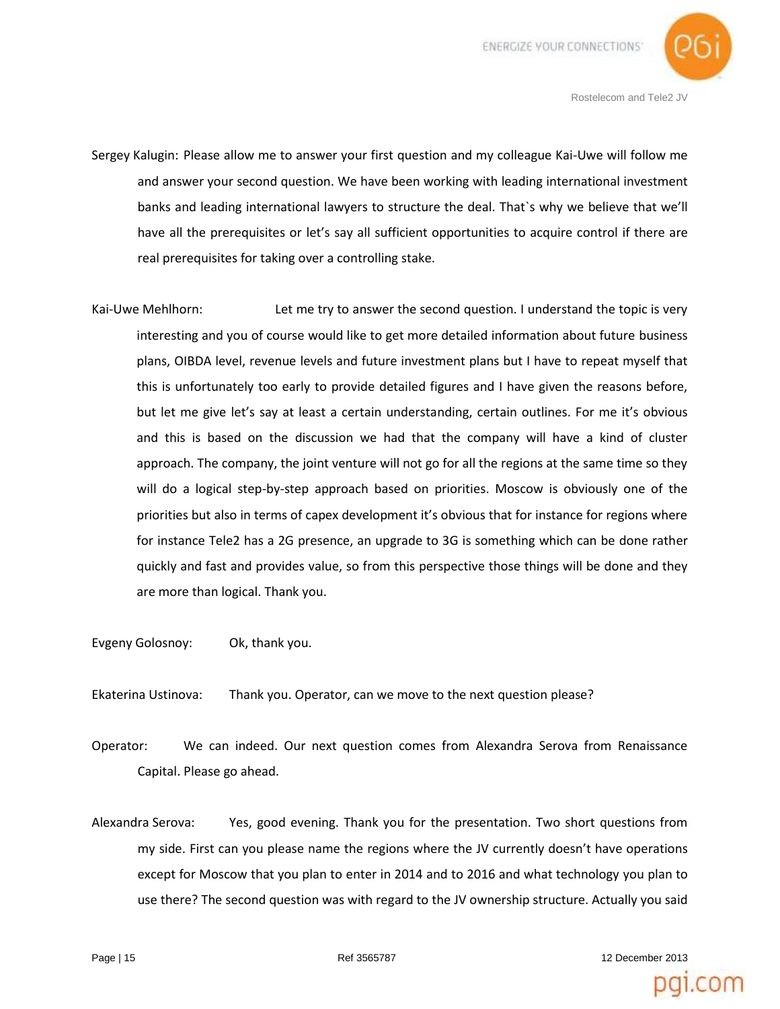

- Sergey Kalugin: Please allow me to answer your first question and my colleague Kai-Uwe will follow me and answer your second question. We have been working with leading international investment banks and leading international lawyers to structure the deal. That`s why we believe that we'll have all the prerequisites or let's say all sufficient opportunities to acquire control if there are real prerequisites for taking over a controlling stake.
- Kai-Uwe Mehlhorn: Let me try to answer the second question. I understand the topic is very interesting and you of course would like to get more detailed information about future business plans, OIBDA level, revenue levels and future investment plans but I have to repeat myself that this is unfortunately too early to provide detailed figures and I have given the reasons before, but let me give let's say at least a certain understanding, certain outlines. For me it's obvious and this is based on the discussion we had that the company will have a kind of cluster approach. The company, the joint venture will not go for all the regions at the same time so they will do a logical step-by-step approach based on priorities. Moscow is obviously one of the priorities but also in terms of capex development it's obvious that for instance for regions where for instance Tele2 has a 2G presence, an upgrade to 3G is something which can be done rather quickly and fast and provides value, so from this perspective those things will be done and they are more than logical. Thank you.

Evgeny Golosnoy: Ok, thank you.

Ekaterina Ustinova: Thank you. Operator, can we move to the next question please?

- Operator: We can indeed. Our next question comes from Alexandra Serova from Renaissance Capital. Please go ahead.
- Alexandra Serova: Yes, good evening. Thank you for the presentation. Two short questions from my side. First can you please name the regions where the JV currently doesn't have operations except for Moscow that you plan to enter in 2014 and to 2016 and what technology you plan to use there? The second question was with regard to the JV ownership structure. Actually you said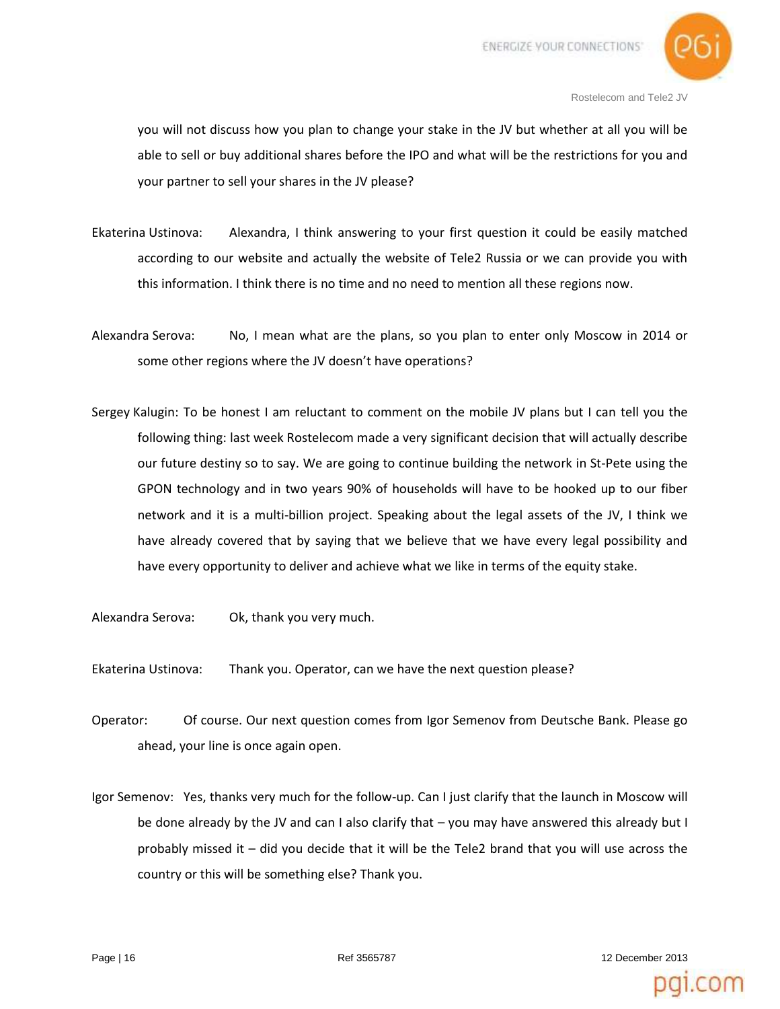

you will not discuss how you plan to change your stake in the JV but whether at all you will be able to sell or buy additional shares before the IPO and what will be the restrictions for you and your partner to sell your shares in the JV please?

- Ekaterina Ustinova: Alexandra, I think answering to your first question it could be easily matched according to our website and actually the website of Tele2 Russia or we can provide you with this information. I think there is no time and no need to mention all these regions now.
- Alexandra Serova: No, I mean what are the plans, so you plan to enter only Moscow in 2014 or some other regions where the JV doesn't have operations?
- Sergey Kalugin: To be honest I am reluctant to comment on the mobile JV plans but I can tell you the following thing: last week Rostelecom made a very significant decision that will actually describe our future destiny so to say. We are going to continue building the network in St-Pete using the GPON technology and in two years 90% of households will have to be hooked up to our fiber network and it is a multi-billion project. Speaking about the legal assets of the JV, I think we have already covered that by saying that we believe that we have every legal possibility and have every opportunity to deliver and achieve what we like in terms of the equity stake.
- Alexandra Serova: Ok, thank you very much.
- Ekaterina Ustinova: Thank you. Operator, can we have the next question please?
- Operator: Of course. Our next question comes from Igor Semenov from Deutsche Bank. Please go ahead, your line is once again open.
- Igor Semenov: Yes, thanks very much for the follow-up. Can I just clarify that the launch in Moscow will be done already by the JV and can I also clarify that – you may have answered this already but I probably missed it – did you decide that it will be the Tele2 brand that you will use across the country or this will be something else? Thank you.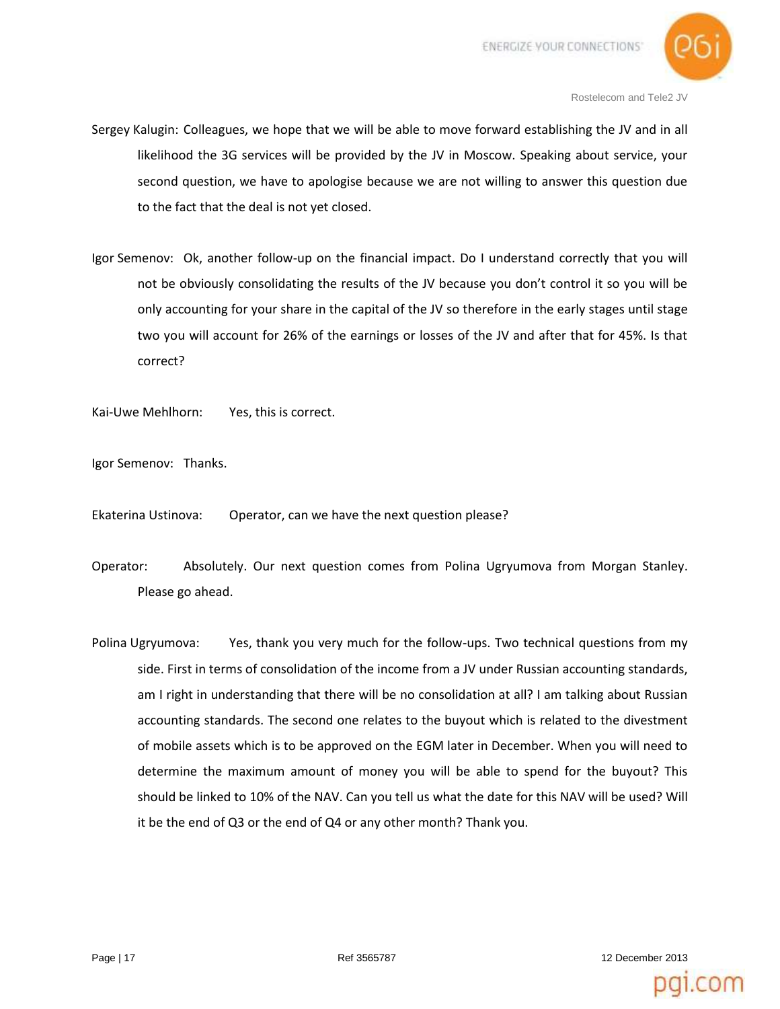

- Sergey Kalugin: Colleagues, we hope that we will be able to move forward establishing the JV and in all likelihood the 3G services will be provided by the JV in Moscow. Speaking about service, your second question, we have to apologise because we are not willing to answer this question due to the fact that the deal is not yet closed.
- Igor Semenov: Ok, another follow-up on the financial impact. Do I understand correctly that you will not be obviously consolidating the results of the JV because you don't control it so you will be only accounting for your share in the capital of the JV so therefore in the early stages until stage two you will account for 26% of the earnings or losses of the JV and after that for 45%. Is that correct?

Kai-Uwe Mehlhorn: Yes, this is correct.

Igor Semenov: Thanks.

Ekaterina Ustinova: Operator, can we have the next question please?

- Operator: Absolutely. Our next question comes from Polina Ugryumova from Morgan Stanley. Please go ahead.
- Polina Ugryumova: Yes, thank you very much for the follow-ups. Two technical questions from my side. First in terms of consolidation of the income from a JV under Russian accounting standards, am I right in understanding that there will be no consolidation at all? I am talking about Russian accounting standards. The second one relates to the buyout which is related to the divestment of mobile assets which is to be approved on the EGM later in December. When you will need to determine the maximum amount of money you will be able to spend for the buyout? This should be linked to 10% of the NAV. Can you tell us what the date for this NAV will be used? Will it be the end of Q3 or the end of Q4 or any other month? Thank you.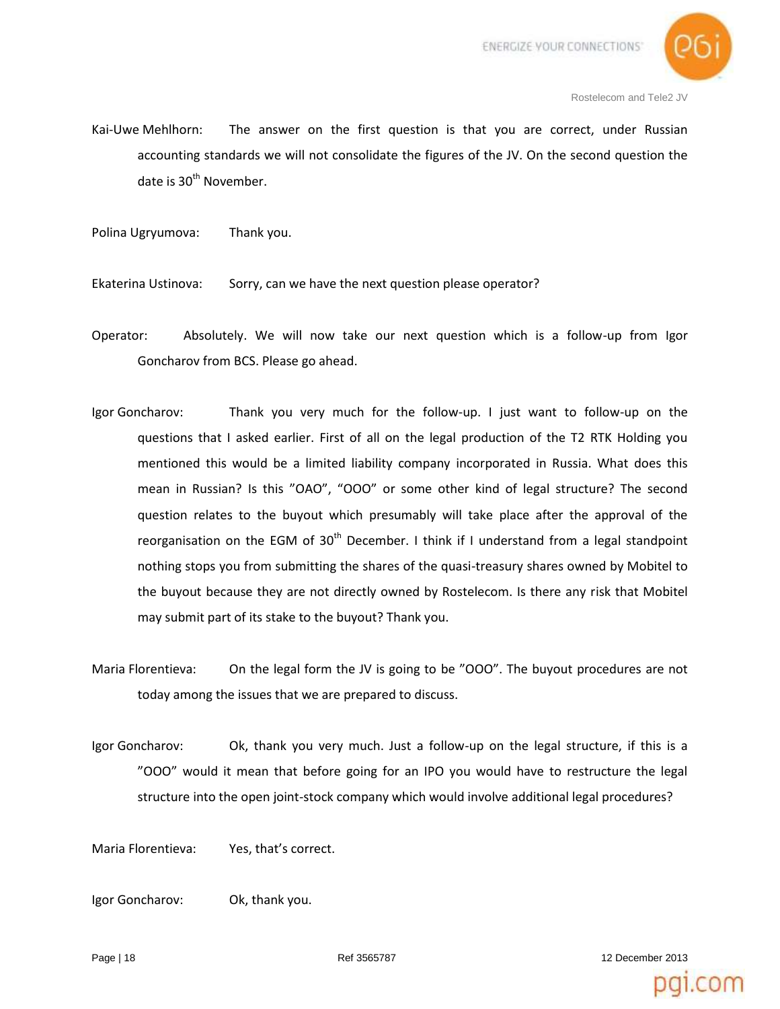

- Kai-Uwe Mehlhorn: The answer on the first question is that you are correct, under Russian accounting standards we will not consolidate the figures of the JV. On the second question the date is  $30<sup>th</sup>$  November.
- Polina Ugryumova: Thank you.

Ekaterina Ustinova: Sorry, can we have the next question please operator?

- Operator: Absolutely. We will now take our next question which is a follow-up from Igor Goncharov from BCS. Please go ahead.
- Igor Goncharov: Thank you very much for the follow-up. I just want to follow-up on the questions that I asked earlier. First of all on the legal production of the T2 RTK Holding you mentioned this would be a limited liability company incorporated in Russia. What does this mean in Russian? Is this "ОАО", "ООО" or some other kind of legal structure? The second question relates to the buyout which presumably will take place after the approval of the reorganisation on the EGM of  $30<sup>th</sup>$  December. I think if I understand from a legal standpoint nothing stops you from submitting the shares of the quasi-treasury shares owned by Mobitel to the buyout because they are not directly owned by Rostelecom. Is there any risk that Mobitel may submit part of its stake to the buyout? Thank you.
- Maria Florentieva: On the legal form the JV is going to be "OOO". The buyout procedures are not today among the issues that we are prepared to discuss.
- Igor Goncharov: Ok, thank you very much. Just a follow-up on the legal structure, if this is a "OOO" would it mean that before going for an IPO you would have to restructure the legal structure into the open joint-stock company which would involve additional legal procedures?

Maria Florentieva: Yes, that's correct.

Igor Goncharov: Ok, thank you.

Page | 18 **Page | 18 Page | 18 12 December 2013**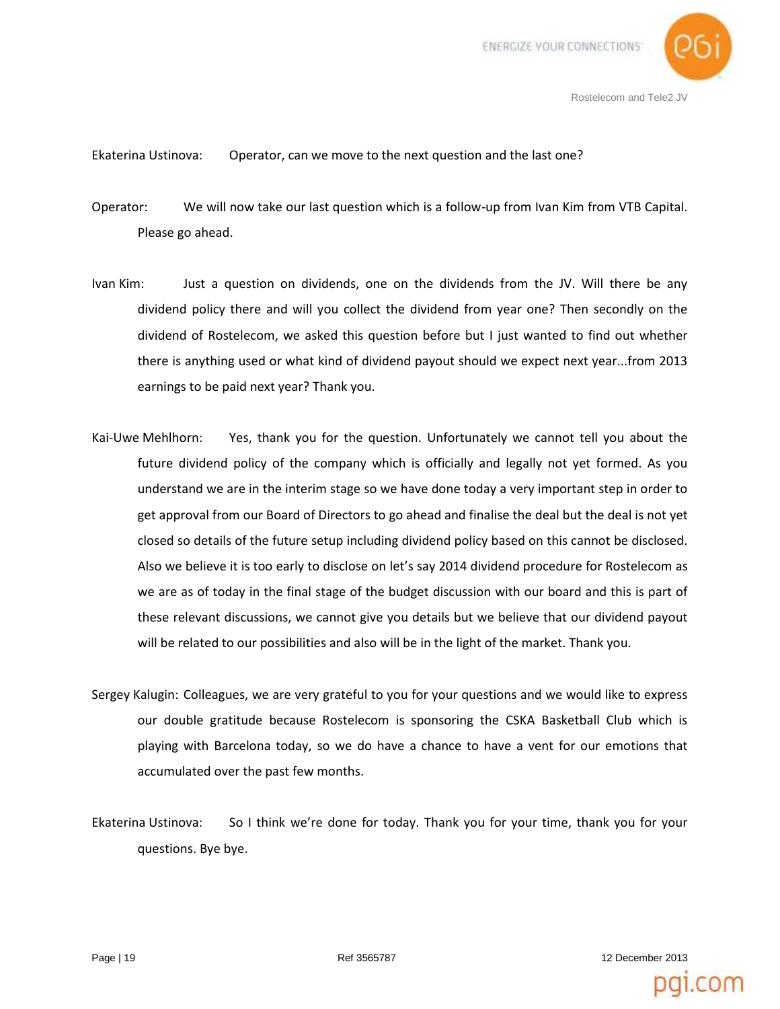

## Ekaterina Ustinova: Operator, can we move to the next question and the last one?

Operator: We will now take our last question which is a follow-up from Ivan Kim from VTB Capital. Please go ahead.

- Ivan Kim: Just a question on dividends, one on the dividends from the JV. Will there be any dividend policy there and will you collect the dividend from year one? Then secondly on the dividend of Rostelecom, we asked this question before but I just wanted to find out whether there is anything used or what kind of dividend payout should we expect next year...from 2013 earnings to be paid next year? Thank you.
- Kai-Uwe Mehlhorn: Yes, thank you for the question. Unfortunately we cannot tell you about the future dividend policy of the company which is officially and legally not yet formed. As you understand we are in the interim stage so we have done today a very important step in order to get approval from our Board of Directors to go ahead and finalise the deal but the deal is not yet closed so details of the future setup including dividend policy based on this cannot be disclosed. Also we believe it is too early to disclose on let's say 2014 dividend procedure for Rostelecom as we are as of today in the final stage of the budget discussion with our board and this is part of these relevant discussions, we cannot give you details but we believe that our dividend payout will be related to our possibilities and also will be in the light of the market. Thank you.
- Sergey Kalugin: Colleagues, we are very grateful to you for your questions and we would like to express our double gratitude because Rostelecom is sponsoring the CSKA Basketball Club which is playing with Barcelona today, so we do have a chance to have a vent for our emotions that accumulated over the past few months.
- Ekaterina Ustinova: So I think we're done for today. Thank you for your time, thank you for your questions. Bye bye.